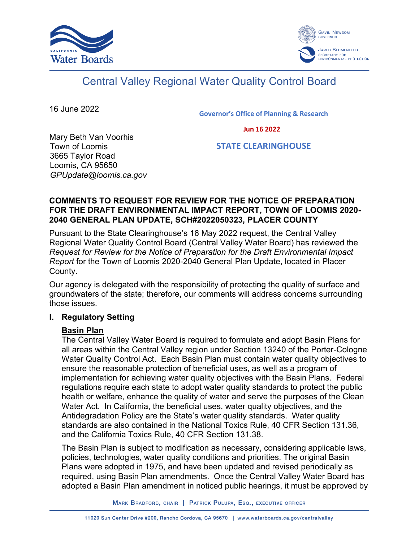



# Central Valley Regional Water Quality Control Board

16 June 2022

Governor's Office of Planning & Research

Jun 16 2022

Mary Beth Van Voorhis Town of Loomis 3665 Taylor Road Loomis, CA 95650 *GPUpdate@loomis.ca.gov*

STATE CLEARINGHOUSE

#### **COMMENTS TO REQUEST FOR REVIEW FOR THE NOTICE OF PREPARATION FOR THE DRAFT ENVIRONMENTAL IMPACT REPORT, TOWN OF LOOMIS 2020- 2040 GENERAL PLAN UPDATE, SCH#2022050323, PLACER COUNTY**

Pursuant to the State Clearinghouse's 16 May 2022 request, the Central Valley Regional Water Quality Control Board (Central Valley Water Board) has reviewed the *Request for Review for the Notice of Preparation for the Draft Environmental Impact Report* for the Town of Loomis 2020-2040 General Plan Update, located in Placer County.

Our agency is delegated with the responsibility of protecting the quality of surface and groundwaters of the state; therefore, our comments will address concerns surrounding those issues.

#### **I. Regulatory Setting**

#### **Basin Plan**

The Central Valley Water Board is required to formulate and adopt Basin Plans for all areas within the Central Valley region under Section 13240 of the Porter-Cologne Water Quality Control Act. Each Basin Plan must contain water quality objectives to ensure the reasonable protection of beneficial uses, as well as a program of implementation for achieving water quality objectives with the Basin Plans. Federal regulations require each state to adopt water quality standards to protect the public health or welfare, enhance the quality of water and serve the purposes of the Clean Water Act. In California, the beneficial uses, water quality objectives, and the Antidegradation Policy are the State's water quality standards. Water quality standards are also contained in the National Toxics Rule, 40 CFR Section 131.36, and the California Toxics Rule, 40 CFR Section 131.38.

The Basin Plan is subject to modification as necessary, considering applicable laws, policies, technologies, water quality conditions and priorities. The original Basin Plans were adopted in 1975, and have been updated and revised periodically as required, using Basin Plan amendments. Once the Central Valley Water Board has adopted a Basin Plan amendment in noticed public hearings, it must be approved by

MARK BRADFORD, CHAIR | PATRICK PULUPA, ESQ., EXECUTIVE OFFICER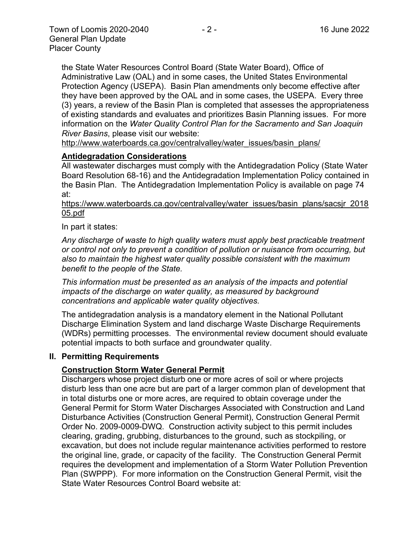the State Water Resources Control Board (State Water Board), Office of Administrative Law (OAL) and in some cases, the United States Environmental Protection Agency (USEPA). Basin Plan amendments only become effective after they have been approved by the OAL and in some cases, the USEPA. Every three (3) years, a review of the Basin Plan is completed that assesses the appropriateness of existing standards and evaluates and prioritizes Basin Planning issues. For more information on the *Water Quality Control Plan for the Sacramento and San Joaquin River Basins*, please visit our website:

[http://www.waterboards.ca.gov/centralvalley/water\\_issues/basin\\_plans/](http://www.waterboards.ca.gov/centralvalley/water_issues/basin_plans/)

#### **Antidegradation Considerations**

All wastewater discharges must comply with the Antidegradation Policy (State Water Board Resolution 68-16) and the Antidegradation Implementation Policy contained in the Basin Plan. The Antidegradation Implementation Policy is available on page 74 at:

https://www.waterboards.ca.gov/centralvalley/water\_issues/basin\_plans/sacsjr\_2018 05.pdf

In part it states:

*Any discharge of waste to high quality waters must apply best practicable treatment or control not only to prevent a condition of pollution or nuisance from occurring, but also to maintain the highest water quality possible consistent with the maximum benefit to the people of the State.*

*This information must be presented as an analysis of the impacts and potential impacts of the discharge on water quality, as measured by background concentrations and applicable water quality objectives.*

The antidegradation analysis is a mandatory element in the National Pollutant Discharge Elimination System and land discharge Waste Discharge Requirements (WDRs) permitting processes. The environmental review document should evaluate potential impacts to both surface and groundwater quality.

#### **II. Permitting Requirements**

#### **Construction Storm Water General Permit**

Dischargers whose project disturb one or more acres of soil or where projects disturb less than one acre but are part of a larger common plan of development that in total disturbs one or more acres, are required to obtain coverage under the General Permit for Storm Water Discharges Associated with Construction and Land Disturbance Activities (Construction General Permit), Construction General Permit Order No. 2009-0009-DWQ. Construction activity subject to this permit includes clearing, grading, grubbing, disturbances to the ground, such as stockpiling, or excavation, but does not include regular maintenance activities performed to restore the original line, grade, or capacity of the facility. The Construction General Permit requires the development and implementation of a Storm Water Pollution Prevention Plan (SWPPP). For more information on the Construction General Permit, visit the State Water Resources Control Board website at: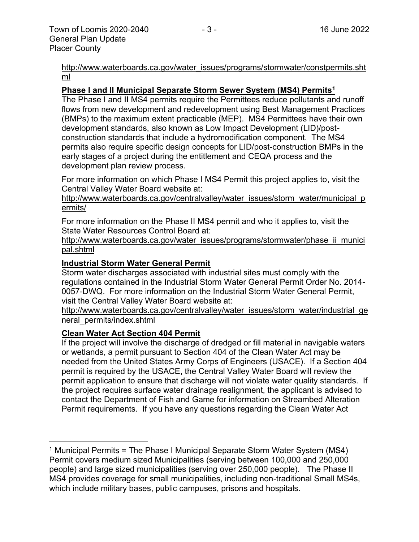[http://www.waterboards.ca.gov/water\\_issues/programs/stormwater/constpermits.sht](http://www.waterboards.ca.gov/water_issues/programs/stormwater/constpermits.shtml) [ml](http://www.waterboards.ca.gov/water_issues/programs/stormwater/constpermits.shtml)

#### **Phase I and II Municipal Separate Storm Sewer System (MS4) Permits<sup>1</sup>**

The Phase I and II MS4 permits require the Permittees reduce pollutants and runoff flows from new development and redevelopment using Best Management Practices (BMPs) to the maximum extent practicable (MEP). MS4 Permittees have their own development standards, also known as Low Impact Development (LID)/postconstruction standards that include a hydromodification component. The MS4 permits also require specific design concepts for LID/post-construction BMPs in the early stages of a project during the entitlement and CEQA process and the development plan review process.

For more information on which Phase I MS4 Permit this project applies to, visit the Central Valley Water Board website at:

http://www.waterboards.ca.gov/centralvalley/water\_issues/storm\_water/municipal\_p ermits/

For more information on the Phase II MS4 permit and who it applies to, visit the State Water Resources Control Board at:

http://www.waterboards.ca.gov/water\_issues/programs/stormwater/phase\_ii\_munici pal.shtml

#### **Industrial Storm Water General Permit**

Storm water discharges associated with industrial sites must comply with the regulations contained in the Industrial Storm Water General Permit Order No. 2014- 0057-DWQ. For more information on the Industrial Storm Water General Permit, visit the Central Valley Water Board website at:

http://www.waterboards.ca.gov/centralvalley/water\_issues/storm\_water/industrial\_ge neral\_permits/index.shtml

#### **Clean Water Act Section 404 Permit**

If the project will involve the discharge of dredged or fill material in navigable waters or wetlands, a permit pursuant to Section 404 of the Clean Water Act may be needed from the United States Army Corps of Engineers (USACE). If a Section 404 permit is required by the USACE, the Central Valley Water Board will review the permit application to ensure that discharge will not violate water quality standards. If the project requires surface water drainage realignment, the applicant is advised to contact the Department of Fish and Game for information on Streambed Alteration Permit requirements. If you have any questions regarding the Clean Water Act

<sup>&</sup>lt;sup>1</sup> Municipal Permits = The Phase I Municipal Separate Storm Water System (MS4) Permit covers medium sized Municipalities (serving between 100,000 and 250,000 people) and large sized municipalities (serving over 250,000 people). The Phase II MS4 provides coverage for small municipalities, including non-traditional Small MS4s, which include military bases, public campuses, prisons and hospitals.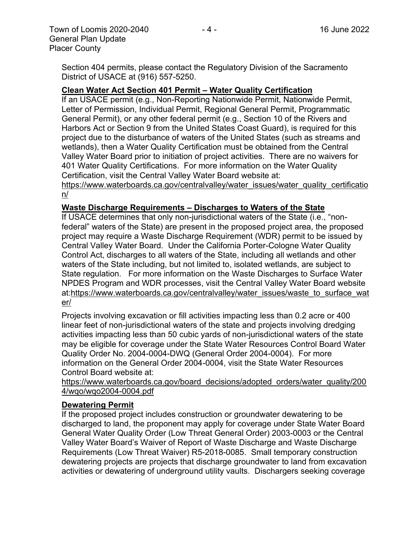Section 404 permits, please contact the Regulatory Division of the Sacramento District of USACE at (916) 557-5250.

#### **Clean Water Act Section 401 Permit – Water Quality Certification**

If an USACE permit (e.g., Non-Reporting Nationwide Permit, Nationwide Permit, Letter of Permission, Individual Permit, Regional General Permit, Programmatic General Permit), or any other federal permit (e.g., Section 10 of the Rivers and Harbors Act or Section 9 from the United States Coast Guard), is required for this project due to the disturbance of waters of the United States (such as streams and wetlands), then a Water Quality Certification must be obtained from the Central Valley Water Board prior to initiation of project activities. There are no waivers for 401 Water Quality Certifications. For more information on the Water Quality Certification, visit the Central Valley Water Board website at:

https://www.waterboards.ca.gov/centralvalley/water\_issues/water\_quality\_certificatio n/

#### **Waste Discharge Requirements – Discharges to Waters of the State**

If USACE determines that only non-jurisdictional waters of the State (i.e., "nonfederal" waters of the State) are present in the proposed project area, the proposed project may require a Waste Discharge Requirement (WDR) permit to be issued by Central Valley Water Board. Under the California Porter-Cologne Water Quality Control Act, discharges to all waters of the State, including all wetlands and other waters of the State including, but not limited to, isolated wetlands, are subject to State regulation. For more information on the Waste Discharges to Surface Water NPDES Program and WDR processes, visit the Central Valley Water Board website at:https://www.waterboards.ca.gov/centralvalley/water\_issues/waste\_to\_surface\_wat er/

Projects involving excavation or fill activities impacting less than 0.2 acre or 400 linear feet of non-jurisdictional waters of the state and projects involving dredging activities impacting less than 50 cubic yards of non-jurisdictional waters of the state may be eligible for coverage under the State Water Resources Control Board Water Quality Order No. 2004-0004-DWQ (General Order 2004-0004). For more information on the General Order 2004-0004, visit the State Water Resources Control Board website at:

https://www.waterboards.ca.gov/board\_decisions/adopted\_orders/water\_quality/200 4/wqo/wqo2004-0004.pdf

#### **Dewatering Permit**

If the proposed project includes construction or groundwater dewatering to be discharged to land, the proponent may apply for coverage under State Water Board General Water Quality Order (Low Threat General Order) 2003-0003 or the Central Valley Water Board's Waiver of Report of Waste Discharge and Waste Discharge Requirements (Low Threat Waiver) R5-2018-0085. Small temporary construction dewatering projects are projects that discharge groundwater to land from excavation activities or dewatering of underground utility vaults. Dischargers seeking coverage